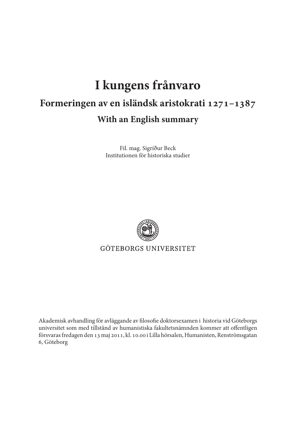## **I kungens frånvaro Formeringen av en isländsk aristokrati 1271–1387 With an English summary**

Fil. mag. Sigríður Beck Institutionen för historiska studier



GÖTEBORGS UNIVERSITET

Akademisk avhandling för avläggande av filosofie doktorsexamen i historia vid Göteborgs universitet som med tillstånd av humanistiska fakultetsnämnden kommer att offentligen försvaras fredagen den 13 maj 2011, kl. 10.00 i Lilla hörsalen, Humanisten, Renströmsgatan 6, Göteborg